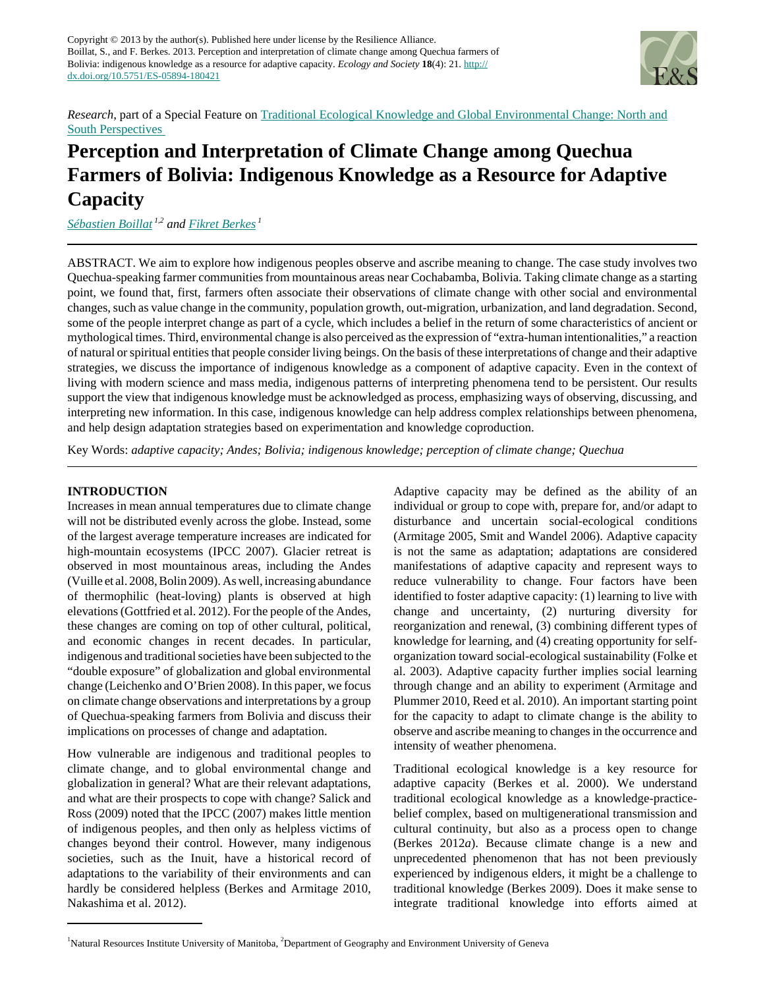Copyright © 2013 by the author(s). Published here under license by the Resilience Alliance. Boillat, S., and F. Berkes. 2013. Perception and interpretation of climate change among Quechua farmers of Bolivia: indigenous knowledge as a resource for adaptive capacity. *Ecology and Society* **18**(4): 21. [http://](http://dx.doi.org/10.5751/ES-05894-180421) [dx.doi.org/10.5751/ES-05894-180421](http://dx.doi.org/10.5751/ES-05894-180421)



*Research*, part of a Special Feature on [Traditional Ecological Knowledge and Global Environmental Change: North and](http://www.ecologyandsociety.org/viewissue.php?sf=83) **South Perspectives** 

# **Perception and Interpretation of Climate Change among Quechua Farmers of Bolivia: Indigenous Knowledge as a Resource for Adaptive Capacity**

*[Sébastien Boillat](mailto:Sebastien.Boillat@unige.ch) 1,2 and [Fikret Berkes](mailto:Fikret.Berkes@ad.umanitoba.ca)<sup>1</sup>*

ABSTRACT. We aim to explore how indigenous peoples observe and ascribe meaning to change. The case study involves two Quechua-speaking farmer communities from mountainous areas near Cochabamba, Bolivia. Taking climate change as a starting point, we found that, first, farmers often associate their observations of climate change with other social and environmental changes, such as value change in the community, population growth, out-migration, urbanization, and land degradation. Second, some of the people interpret change as part of a cycle, which includes a belief in the return of some characteristics of ancient or mythological times. Third, environmental change is also perceived as the expression of "extra-human intentionalities," a reaction of natural or spiritual entities that people consider living beings. On the basis of these interpretations of change and their adaptive strategies, we discuss the importance of indigenous knowledge as a component of adaptive capacity. Even in the context of living with modern science and mass media, indigenous patterns of interpreting phenomena tend to be persistent. Our results support the view that indigenous knowledge must be acknowledged as process, emphasizing ways of observing, discussing, and interpreting new information. In this case, indigenous knowledge can help address complex relationships between phenomena, and help design adaptation strategies based on experimentation and knowledge coproduction.

Key Words: *adaptive capacity; Andes; Bolivia; indigenous knowledge; perception of climate change; Quechua*

### **INTRODUCTION**

Increases in mean annual temperatures due to climate change will not be distributed evenly across the globe. Instead, some of the largest average temperature increases are indicated for high-mountain ecosystems (IPCC 2007). Glacier retreat is observed in most mountainous areas, including the Andes (Vuille et al. 2008, Bolin 2009). As well, increasing abundance of thermophilic (heat-loving) plants is observed at high elevations (Gottfried et al. 2012). For the people of the Andes, these changes are coming on top of other cultural, political, and economic changes in recent decades. In particular, indigenous and traditional societies have been subjected to the "double exposure" of globalization and global environmental change (Leichenko and O'Brien 2008). In this paper, we focus on climate change observations and interpretations by a group of Quechua-speaking farmers from Bolivia and discuss their implications on processes of change and adaptation.

How vulnerable are indigenous and traditional peoples to climate change, and to global environmental change and globalization in general? What are their relevant adaptations, and what are their prospects to cope with change? Salick and Ross (2009) noted that the IPCC (2007) makes little mention of indigenous peoples, and then only as helpless victims of changes beyond their control. However, many indigenous societies, such as the Inuit, have a historical record of adaptations to the variability of their environments and can hardly be considered helpless (Berkes and Armitage 2010, Nakashima et al. 2012).

Adaptive capacity may be defined as the ability of an individual or group to cope with, prepare for, and/or adapt to disturbance and uncertain social-ecological conditions (Armitage 2005, Smit and Wandel 2006). Adaptive capacity is not the same as adaptation; adaptations are considered manifestations of adaptive capacity and represent ways to reduce vulnerability to change. Four factors have been identified to foster adaptive capacity: (1) learning to live with change and uncertainty, (2) nurturing diversity for reorganization and renewal, (3) combining different types of knowledge for learning, and (4) creating opportunity for selforganization toward social-ecological sustainability (Folke et al. 2003). Adaptive capacity further implies social learning through change and an ability to experiment (Armitage and Plummer 2010, Reed et al. 2010). An important starting point for the capacity to adapt to climate change is the ability to observe and ascribe meaning to changes in the occurrence and intensity of weather phenomena.

Traditional ecological knowledge is a key resource for adaptive capacity (Berkes et al. 2000). We understand traditional ecological knowledge as a knowledge-practicebelief complex, based on multigenerational transmission and cultural continuity, but also as a process open to change (Berkes 2012*a*). Because climate change is a new and unprecedented phenomenon that has not been previously experienced by indigenous elders, it might be a challenge to traditional knowledge (Berkes 2009). Does it make sense to integrate traditional knowledge into efforts aimed at

<sup>&</sup>lt;sup>1</sup>Natural Resources Institute University of Manitoba, <sup>2</sup>Department of Geography and Environment University of Geneva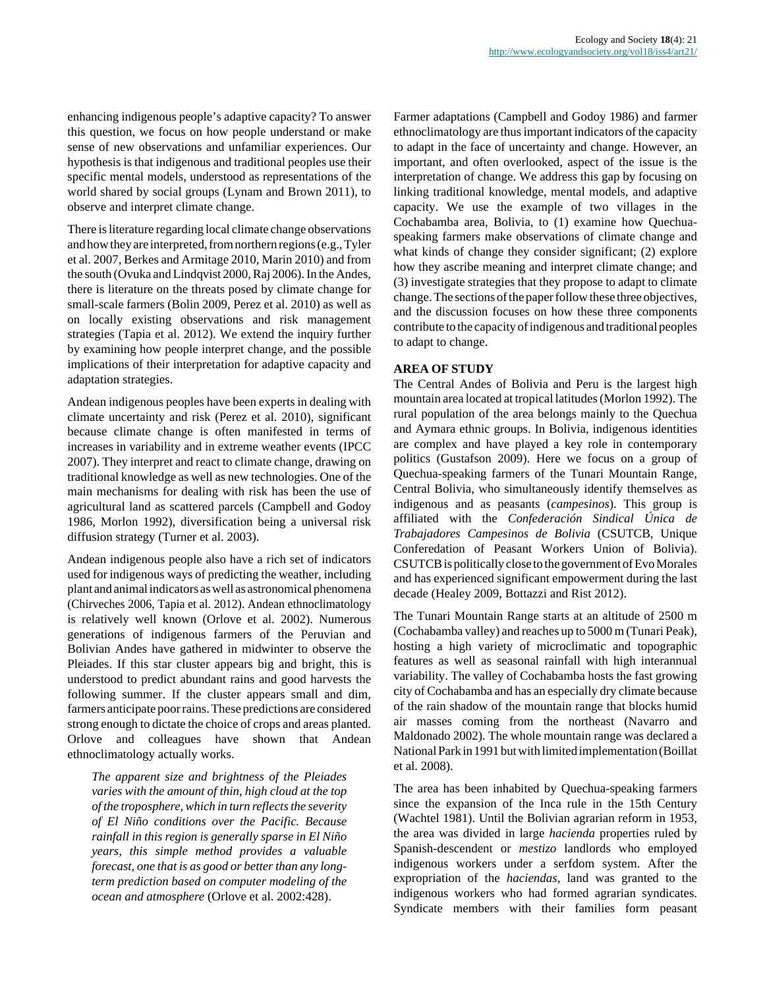enhancing indigenous people's adaptive capacity? To answer this question, we focus on how people understand or make sense of new observations and unfamiliar experiences. Our hypothesis is that indigenous and traditional peoples use their specific mental models, understood as representations of the world shared by social groups (Lynam and Brown 2011), to observe and interpret climate change.

There is literature regarding local climate change observations and how they are interpreted, from northern regions (e.g., Tyler et al. 2007, Berkes and Armitage 2010, Marin 2010) and from the south (Ovuka and Lindqvist 2000, Raj 2006). In the Andes, there is literature on the threats posed by climate change for small-scale farmers (Bolin 2009, Perez et al. 2010) as well as on locally existing observations and risk management strategies (Tapia et al. 2012). We extend the inquiry further by examining how people interpret change, and the possible implications of their interpretation for adaptive capacity and adaptation strategies.

Andean indigenous peoples have been experts in dealing with climate uncertainty and risk (Perez et al. 2010), significant because climate change is often manifested in terms of increases in variability and in extreme weather events (IPCC 2007). They interpret and react to climate change, drawing on traditional knowledge as well as new technologies. One of the main mechanisms for dealing with risk has been the use of agricultural land as scattered parcels (Campbell and Godoy 1986, Morlon 1992), diversification being a universal risk diffusion strategy (Turner et al. 2003).

Andean indigenous people also have a rich set of indicators used for indigenous ways of predicting the weather, including plant and animal indicators as well as astronomical phenomena (Chirveches 2006, Tapia et al. 2012). Andean ethnoclimatology is relatively well known (Orlove et al. 2002). Numerous generations of indigenous farmers of the Peruvian and Bolivian Andes have gathered in midwinter to observe the Pleiades. If this star cluster appears big and bright, this is understood to predict abundant rains and good harvests the following summer. If the cluster appears small and dim, farmers anticipate poor rains. These predictions are considered strong enough to dictate the choice of crops and areas planted. Orlove and colleagues have shown that Andean ethnoclimatology actually works.

*The apparent size and brightness of the Pleiades varies with the amount of thin, high cloud at the top of the troposphere, which in turn reflects the severity of El Niño conditions over the Pacific. Because rainfall in this region is generally sparse in El Niño years, this simple method provides a valuable forecast, one that is as good or better than any longterm prediction based on computer modeling of the ocean and atmosphere* (Orlove et al. 2002:428).

Farmer adaptations (Campbell and Godoy 1986) and farmer ethnoclimatology are thus important indicators of the capacity to adapt in the face of uncertainty and change. However, an important, and often overlooked, aspect of the issue is the interpretation of change. We address this gap by focusing on linking traditional knowledge, mental models, and adaptive capacity. We use the example of two villages in the Cochabamba area, Bolivia, to (1) examine how Quechuaspeaking farmers make observations of climate change and what kinds of change they consider significant; (2) explore how they ascribe meaning and interpret climate change; and (3) investigate strategies that they propose to adapt to climate change. The sections of the paper follow these three objectives, and the discussion focuses on how these three components contribute to the capacity of indigenous and traditional peoples to adapt to change.

## **AREA OF STUDY**

The Central Andes of Bolivia and Peru is the largest high mountain area located at tropical latitudes (Morlon 1992). The rural population of the area belongs mainly to the Quechua and Aymara ethnic groups. In Bolivia, indigenous identities are complex and have played a key role in contemporary politics (Gustafson 2009). Here we focus on a group of Quechua-speaking farmers of the Tunari Mountain Range, Central Bolivia, who simultaneously identify themselves as indigenous and as peasants (*campesinos*). This group is affiliated with the *Confederación Sindical Única de Trabajadores Campesinos de Bolivia* (CSUTCB, Unique Conferedation of Peasant Workers Union of Bolivia). CSUTCB is politically close to the government of Evo Morales and has experienced significant empowerment during the last decade (Healey 2009, Bottazzi and Rist 2012).

The Tunari Mountain Range starts at an altitude of 2500 m (Cochabamba valley) and reaches up to 5000 m (Tunari Peak), hosting a high variety of microclimatic and topographic features as well as seasonal rainfall with high interannual variability. The valley of Cochabamba hosts the fast growing city of Cochabamba and has an especially dry climate because of the rain shadow of the mountain range that blocks humid air masses coming from the northeast (Navarro and Maldonado 2002). The whole mountain range was declared a National Park in 1991 but with limited implementation (Boillat et al. 2008).

The area has been inhabited by Quechua-speaking farmers since the expansion of the Inca rule in the 15th Century (Wachtel 1981). Until the Bolivian agrarian reform in 1953, the area was divided in large *hacienda* properties ruled by Spanish-descendent or *mestizo* landlords who employed indigenous workers under a serfdom system. After the expropriation of the *haciendas*, land was granted to the indigenous workers who had formed agrarian syndicates. Syndicate members with their families form peasant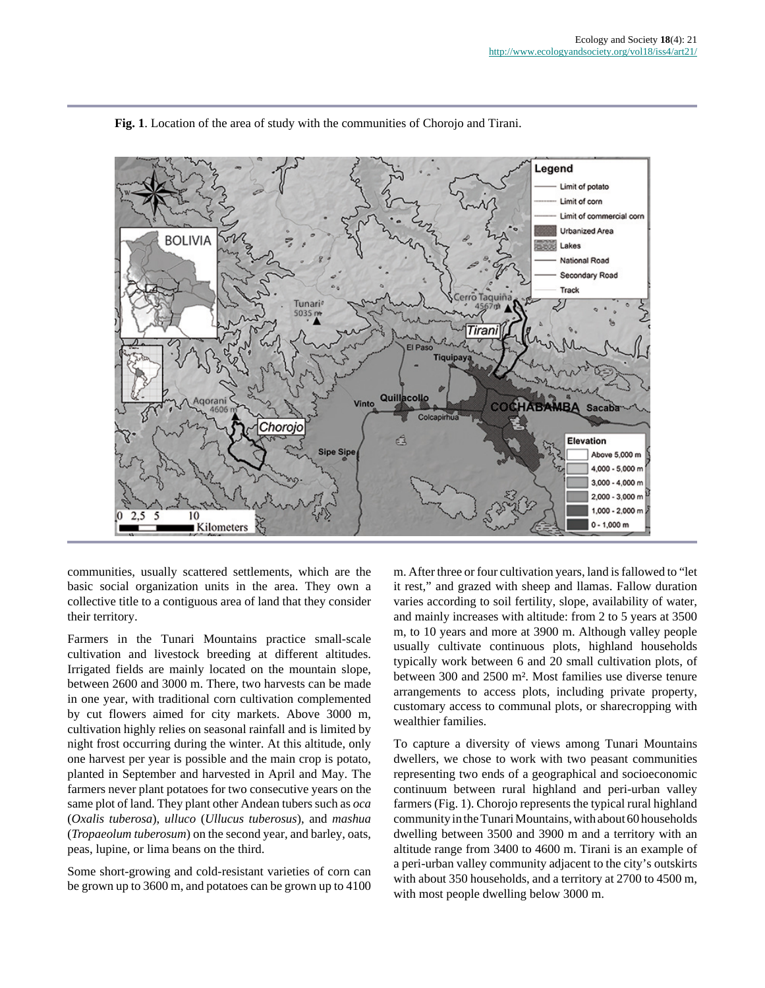

**Fig. 1**. Location of the area of study with the communities of Chorojo and Tirani.

communities, usually scattered settlements, which are the basic social organization units in the area. They own a collective title to a contiguous area of land that they consider their territory.

Farmers in the Tunari Mountains practice small-scale cultivation and livestock breeding at different altitudes. Irrigated fields are mainly located on the mountain slope, between 2600 and 3000 m. There, two harvests can be made in one year, with traditional corn cultivation complemented by cut flowers aimed for city markets. Above 3000 m, cultivation highly relies on seasonal rainfall and is limited by night frost occurring during the winter. At this altitude, only one harvest per year is possible and the main crop is potato, planted in September and harvested in April and May. The farmers never plant potatoes for two consecutive years on the same plot of land. They plant other Andean tubers such as *oca* (*Oxalis tuberosa*), *ulluco* (*Ullucus tuberosus*), and *mashua* (*Tropaeolum tuberosum*) on the second year, and barley, oats, peas, lupine, or lima beans on the third.

Some short-growing and cold-resistant varieties of corn can be grown up to 3600 m, and potatoes can be grown up to 4100 m. After three or four cultivation years, land is fallowed to "let it rest," and grazed with sheep and llamas. Fallow duration varies according to soil fertility, slope, availability of water, and mainly increases with altitude: from 2 to 5 years at 3500 m, to 10 years and more at 3900 m. Although valley people usually cultivate continuous plots, highland households typically work between 6 and 20 small cultivation plots, of between 300 and 2500 m². Most families use diverse tenure arrangements to access plots, including private property, customary access to communal plots, or sharecropping with wealthier families.

To capture a diversity of views among Tunari Mountains dwellers, we chose to work with two peasant communities representing two ends of a geographical and socioeconomic continuum between rural highland and peri-urban valley farmers (Fig. 1). Chorojo represents the typical rural highland community in the Tunari Mountains, with about 60 households dwelling between 3500 and 3900 m and a territory with an altitude range from 3400 to 4600 m. Tirani is an example of a peri-urban valley community adjacent to the city's outskirts with about 350 households, and a territory at 2700 to 4500 m, with most people dwelling below 3000 m.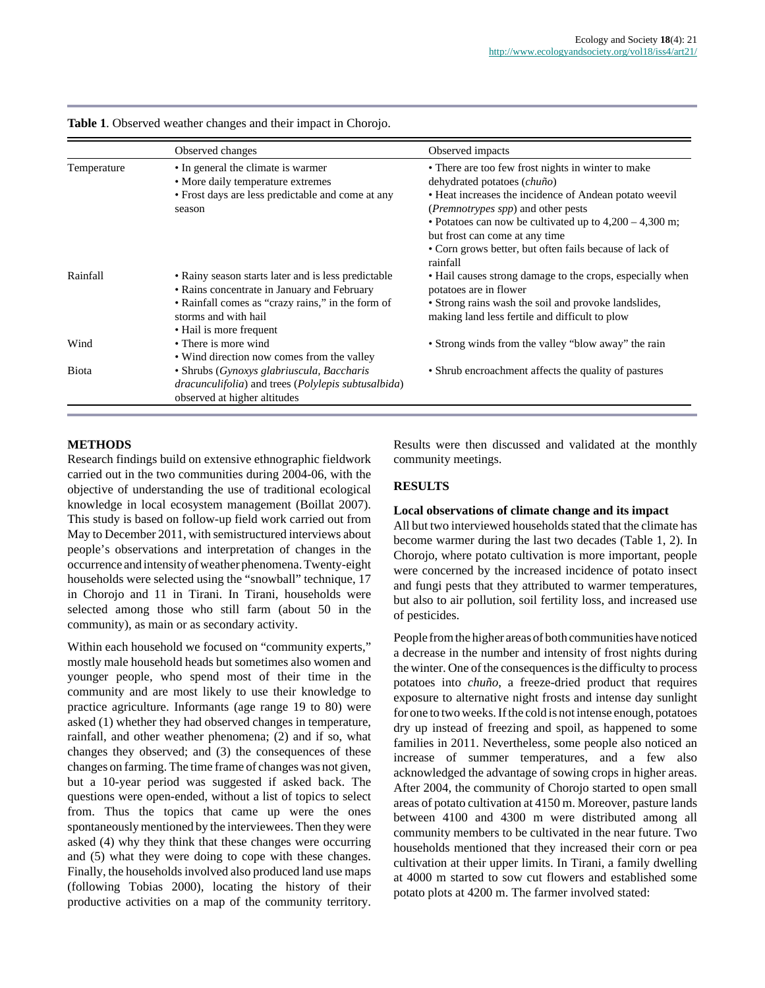|              | Observed changes                                                                                   | Observed impacts                                                                    |
|--------------|----------------------------------------------------------------------------------------------------|-------------------------------------------------------------------------------------|
| Temperature  | • In general the climate is warmer                                                                 | • There are too few frost nights in winter to make                                  |
|              | • More daily temperature extremes                                                                  | dehydrated potatoes (chuño)                                                         |
|              | • Frost days are less predictable and come at any                                                  | • Heat increases the incidence of Andean potato weevil                              |
|              | season                                                                                             | ( <i>Premnotrypes spp</i> ) and other pests                                         |
|              |                                                                                                    | • Potatoes can now be cultivated up to $4,200 - 4,300$ m;                           |
|              |                                                                                                    | but frost can come at any time                                                      |
|              |                                                                                                    | • Corn grows better, but often fails because of lack of                             |
|              |                                                                                                    | rainfall                                                                            |
| Rainfall     | • Rainy season starts later and is less predictable<br>• Rains concentrate in January and February | • Hail causes strong damage to the crops, especially when<br>potatoes are in flower |
|              | • Rainfall comes as "crazy rains," in the form of                                                  | • Strong rains wash the soil and provoke landslides,                                |
|              | storms and with hail                                                                               | making land less fertile and difficult to plow                                      |
|              | • Hail is more frequent                                                                            |                                                                                     |
| Wind         | • There is more wind                                                                               | • Strong winds from the valley "blow away" the rain                                 |
|              | • Wind direction now comes from the valley                                                         |                                                                                     |
| <b>Biota</b> | • Shrubs (Gynoxys glabriuscula, Baccharis                                                          | • Shrub encroachment affects the quality of pastures                                |
|              | dracunculifolia) and trees (Polylepis subtusalbida)                                                |                                                                                     |
|              | observed at higher altitudes                                                                       |                                                                                     |

**Table 1**. Observed weather changes and their impact in Chorojo.

#### **METHODS**

Research findings build on extensive ethnographic fieldwork carried out in the two communities during 2004-06, with the objective of understanding the use of traditional ecological knowledge in local ecosystem management (Boillat 2007). This study is based on follow-up field work carried out from May to December 2011, with semistructured interviews about people's observations and interpretation of changes in the occurrence and intensity of weather phenomena. Twenty-eight households were selected using the "snowball" technique, 17 in Chorojo and 11 in Tirani. In Tirani, households were selected among those who still farm (about 50 in the community), as main or as secondary activity.

Within each household we focused on "community experts," mostly male household heads but sometimes also women and younger people, who spend most of their time in the community and are most likely to use their knowledge to practice agriculture. Informants (age range 19 to 80) were asked (1) whether they had observed changes in temperature, rainfall, and other weather phenomena; (2) and if so, what changes they observed; and (3) the consequences of these changes on farming. The time frame of changes was not given, but a 10-year period was suggested if asked back. The questions were open-ended, without a list of topics to select from. Thus the topics that came up were the ones spontaneously mentioned by the interviewees. Then they were asked (4) why they think that these changes were occurring and (5) what they were doing to cope with these changes. Finally, the households involved also produced land use maps (following Tobias 2000), locating the history of their productive activities on a map of the community territory. Results were then discussed and validated at the monthly community meetings.

#### **RESULTS**

#### **Local observations of climate change and its impact**

All but two interviewed households stated that the climate has become warmer during the last two decades (Table 1, 2). In Chorojo, where potato cultivation is more important, people were concerned by the increased incidence of potato insect and fungi pests that they attributed to warmer temperatures, but also to air pollution, soil fertility loss, and increased use of pesticides.

People from the higher areas of both communities have noticed a decrease in the number and intensity of frost nights during the winter. One of the consequences is the difficulty to process potatoes into *chuño*, a freeze-dried product that requires exposure to alternative night frosts and intense day sunlight for one to two weeks. If the cold is not intense enough, potatoes dry up instead of freezing and spoil, as happened to some families in 2011. Nevertheless, some people also noticed an increase of summer temperatures, and a few also acknowledged the advantage of sowing crops in higher areas. After 2004, the community of Chorojo started to open small areas of potato cultivation at 4150 m. Moreover, pasture lands between 4100 and 4300 m were distributed among all community members to be cultivated in the near future. Two households mentioned that they increased their corn or pea cultivation at their upper limits. In Tirani, a family dwelling at 4000 m started to sow cut flowers and established some potato plots at 4200 m. The farmer involved stated: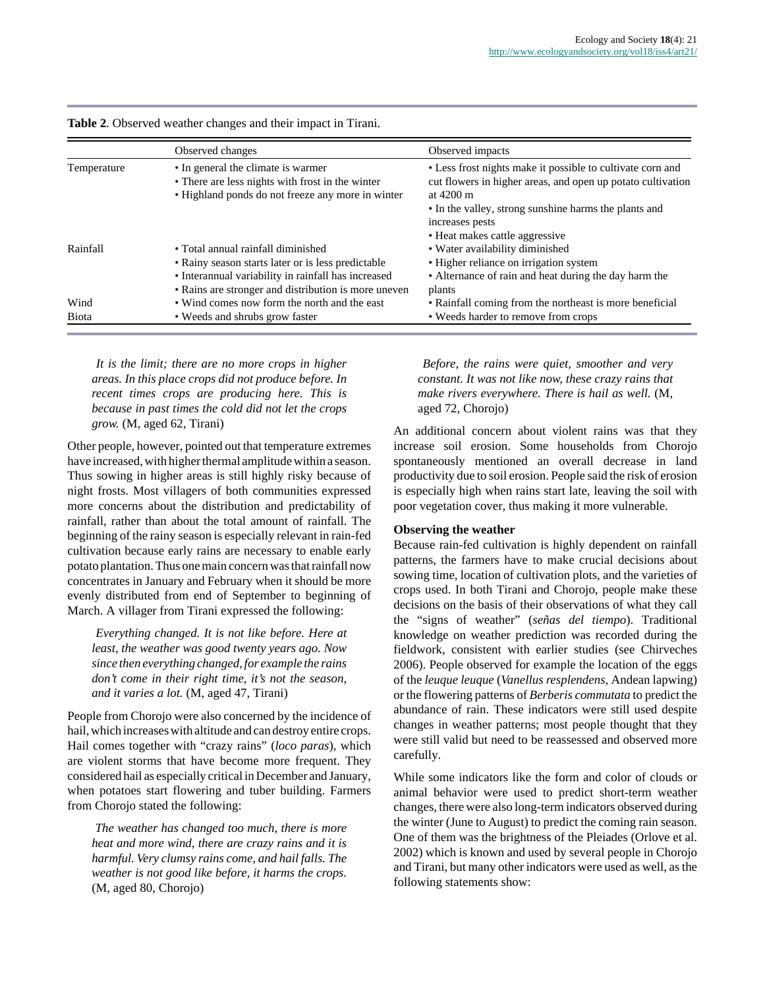|              | Observed changes                                     | Observed impacts                                            |
|--------------|------------------------------------------------------|-------------------------------------------------------------|
| Temperature  | • In general the climate is warmer                   | • Less frost nights make it possible to cultivate corn and  |
|              | • There are less nights with frost in the winter     | cut flowers in higher areas, and open up potato cultivation |
|              | • Highland ponds do not freeze any more in winter    | at $4200 \text{ m}$                                         |
|              |                                                      | • In the valley, strong sunshine harms the plants and       |
|              |                                                      | increases pests                                             |
|              |                                                      | • Heat makes cattle aggressive                              |
| Rainfall     | • Total annual rainfall diminished                   | • Water availability diminished                             |
|              | • Rainy season starts later or is less predictable   | • Higher reliance on irrigation system                      |
|              | • Interannual variability in rainfall has increased  | • Alternance of rain and heat during the day harm the       |
|              | • Rains are stronger and distribution is more uneven | plants                                                      |
| Wind         | • Wind comes now form the north and the east         | • Rainfall coming from the northeast is more beneficial     |
| <b>Biota</b> | • Weeds and shrubs grow faster                       | • Weeds harder to remove from crops                         |

**Table 2**. Observed weather changes and their impact in Tirani.

*It is the limit; there are no more crops in higher areas. In this place crops did not produce before. In recent times crops are producing here. This is because in past times the cold did not let the crops grow.* (M, aged 62, Tirani)

Other people, however, pointed out that temperature extremes have increased, with higher thermal amplitude within a season. Thus sowing in higher areas is still highly risky because of night frosts. Most villagers of both communities expressed more concerns about the distribution and predictability of rainfall, rather than about the total amount of rainfall. The beginning of the rainy season is especially relevant in rain-fed cultivation because early rains are necessary to enable early potato plantation. Thus one main concern was that rainfall now concentrates in January and February when it should be more evenly distributed from end of September to beginning of March. A villager from Tirani expressed the following:

*Everything changed. It is not like before. Here at least, the weather was good twenty years ago. Now since then everything changed, for example the rains don't come in their right time, it's not the season, and it varies a lot.* (M, aged 47, Tirani)

People from Chorojo were also concerned by the incidence of hail, which increases with altitude and can destroy entire crops. Hail comes together with "crazy rains" (*loco paras*), which are violent storms that have become more frequent. They considered hail as especially critical in December and January, when potatoes start flowering and tuber building. Farmers from Chorojo stated the following:

*The weather has changed too much, there is more heat and more wind, there are crazy rains and it is harmful. Very clumsy rains come, and hail falls. The weather is not good like before, it harms the crops.* (M, aged 80, Chorojo)

*Before, the rains were quiet, smoother and very constant. It was not like now, these crazy rains that make rivers everywhere. There is hail as well.* (M, aged 72, Chorojo)

An additional concern about violent rains was that they increase soil erosion. Some households from Chorojo spontaneously mentioned an overall decrease in land productivity due to soil erosion. People said the risk of erosion is especially high when rains start late, leaving the soil with poor vegetation cover, thus making it more vulnerable.

#### **Observing the weather**

Because rain-fed cultivation is highly dependent on rainfall patterns, the farmers have to make crucial decisions about sowing time, location of cultivation plots, and the varieties of crops used. In both Tirani and Chorojo, people make these decisions on the basis of their observations of what they call the "signs of weather" (*señas del tiempo*). Traditional knowledge on weather prediction was recorded during the fieldwork, consistent with earlier studies (see Chirveches 2006). People observed for example the location of the eggs of the *leuque leuque* (*Vanellus resplendens,* Andean lapwing) or the flowering patterns of *Berberis commutata* to predict the abundance of rain. These indicators were still used despite changes in weather patterns; most people thought that they were still valid but need to be reassessed and observed more carefully.

While some indicators like the form and color of clouds or animal behavior were used to predict short-term weather changes, there were also long-term indicators observed during the winter (June to August) to predict the coming rain season. One of them was the brightness of the Pleiades (Orlove et al. 2002) which is known and used by several people in Chorojo and Tirani, but many other indicators were used as well, as the following statements show: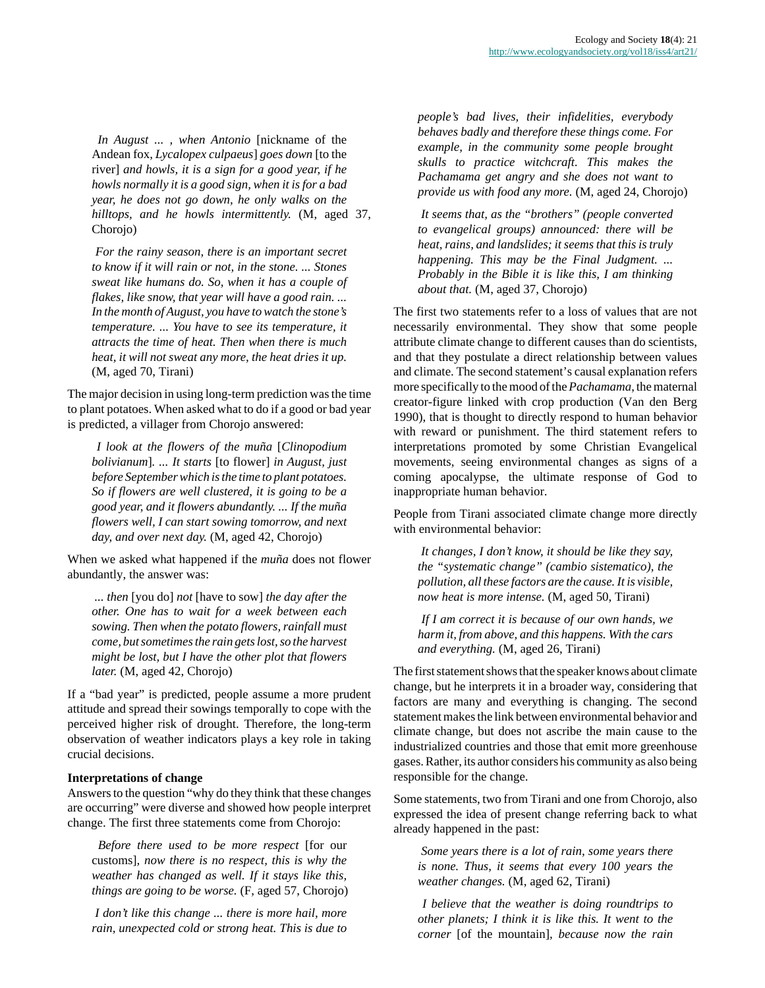*In August ... , when Antonio* [nickname of the Andean fox, *Lycalopex culpaeus*] *goes down* [to the river] *and howls, it is a sign for a good year, if he howls normally it is a good sign, when it is for a bad year, he does not go down, he only walks on the hilltops, and he howls intermittently.* (M, aged 37, Chorojo)

*For the rainy season, there is an important secret to know if it will rain or not, in the stone. ... Stones sweat like humans do. So, when it has a couple of flakes, like snow, that year will have a good rain. ... In the month of August, you have to watch the stone's temperature. ... You have to see its temperature, it attracts the time of heat. Then when there is much heat, it will not sweat any more, the heat dries it up.* (M, aged 70, Tirani)

The major decision in using long-term prediction was the time to plant potatoes. When asked what to do if a good or bad year is predicted, a villager from Chorojo answered:

*I look at the flowers of the muña* [*Clinopodium bolivianum*]*. ... It starts* [to flower] *in August, just before September which is the time to plant potatoes. So if flowers are well clustered, it is going to be a good year, and it flowers abundantly. ... If the muña flowers well, I can start sowing tomorrow, and next day, and over next day.* (M, aged 42, Chorojo)

When we asked what happened if the *muña* does not flower abundantly, the answer was:

*... then* [you do] *not* [have to sow] *the day after the other. One has to wait for a week between each sowing. Then when the potato flowers, rainfall must come, but sometimes the rain gets lost, so the harvest might be lost, but I have the other plot that flowers later.* (M, aged 42, Chorojo)

If a "bad year" is predicted, people assume a more prudent attitude and spread their sowings temporally to cope with the perceived higher risk of drought. Therefore, the long-term observation of weather indicators plays a key role in taking crucial decisions.

#### **Interpretations of change**

Answers to the question "why do they think that these changes are occurring" were diverse and showed how people interpret change. The first three statements come from Chorojo:

*Before there used to be more respect* [for our customs]*, now there is no respect, this is why the weather has changed as well. If it stays like this, things are going to be worse.* (F, aged 57, Chorojo)

*I don't like this change ... there is more hail, more rain, unexpected cold or strong heat. This is due to* *people's bad lives, their infidelities, everybody behaves badly and therefore these things come. For example, in the community some people brought skulls to practice witchcraft. This makes the Pachamama get angry and she does not want to provide us with food any more.* (M, aged 24, Chorojo)

*It seems that, as the "brothers" (people converted to evangelical groups) announced: there will be heat, rains, and landslides; it seems that this is truly happening. This may be the Final Judgment. ... Probably in the Bible it is like this, I am thinking about that.* (M, aged 37, Chorojo)

The first two statements refer to a loss of values that are not necessarily environmental. They show that some people attribute climate change to different causes than do scientists, and that they postulate a direct relationship between values and climate. The second statement's causal explanation refers more specifically to the mood of the *Pachamama*, the maternal creator-figure linked with crop production (Van den Berg 1990), that is thought to directly respond to human behavior with reward or punishment. The third statement refers to interpretations promoted by some Christian Evangelical movements, seeing environmental changes as signs of a coming apocalypse, the ultimate response of God to inappropriate human behavior.

People from Tirani associated climate change more directly with environmental behavior:

*It changes, I don't know, it should be like they say, the "systematic change" (cambio sistematico), the pollution, all these factors are the cause. It is visible, now heat is more intense.* (M, aged 50, Tirani)

*If I am correct it is because of our own hands, we harm it, from above, and this happens. With the cars and everything.* (M, aged 26, Tirani)

The first statement shows that the speaker knows about climate change, but he interprets it in a broader way, considering that factors are many and everything is changing. The second statement makes the link between environmental behavior and climate change, but does not ascribe the main cause to the industrialized countries and those that emit more greenhouse gases. Rather, its author considers his community as also being responsible for the change.

Some statements, two from Tirani and one from Chorojo, also expressed the idea of present change referring back to what already happened in the past:

*Some years there is a lot of rain, some years there is none. Thus, it seems that every 100 years the weather changes.* (M, aged 62, Tirani)

*I believe that the weather is doing roundtrips to other planets; I think it is like this. It went to the corner* [of the mountain]*, because now the rain*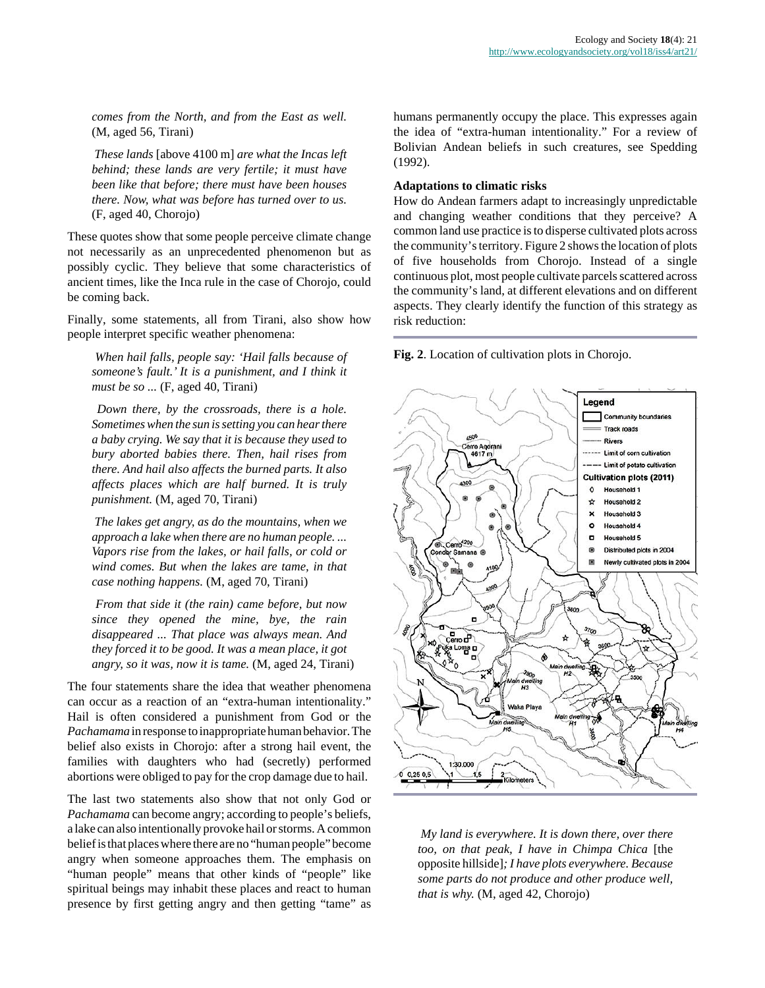*comes from the North, and from the East as well.* (M, aged 56, Tirani)

*These lands* [above 4100 m] *are what the Incas left behind; these lands are very fertile; it must have been like that before; there must have been houses there. Now, what was before has turned over to us.* (F, aged 40, Chorojo)

These quotes show that some people perceive climate change not necessarily as an unprecedented phenomenon but as possibly cyclic. They believe that some characteristics of ancient times, like the Inca rule in the case of Chorojo, could be coming back.

Finally, some statements, all from Tirani, also show how people interpret specific weather phenomena:

*When hail falls, people say: 'Hail falls because of someone's fault.' It is a punishment, and I think it must be so ...* (F, aged 40, Tirani)

*Down there, by the crossroads, there is a hole. Sometimes when the sun is setting you can hear there a baby crying. We say that it is because they used to bury aborted babies there. Then, hail rises from there. And hail also affects the burned parts. It also affects places which are half burned. It is truly punishment.* (M, aged 70, Tirani)

*The lakes get angry, as do the mountains, when we approach a lake when there are no human people. ... Vapors rise from the lakes, or hail falls, or cold or wind comes. But when the lakes are tame, in that case nothing happens.* (M, aged 70, Tirani)

*From that side it (the rain) came before, but now since they opened the mine, bye, the rain disappeared ... That place was always mean. And they forced it to be good. It was a mean place, it got angry, so it was, now it is tame.* (M, aged 24, Tirani)

The four statements share the idea that weather phenomena can occur as a reaction of an "extra-human intentionality." Hail is often considered a punishment from God or the *Pachamama* in response to inappropriate human behavior. The belief also exists in Chorojo: after a strong hail event, the families with daughters who had (secretly) performed abortions were obliged to pay for the crop damage due to hail.

The last two statements also show that not only God or *Pachamama* can become angry; according to people's beliefs, a lake can also intentionally provoke hail or storms. A common belief is that places where there are no "human people" become angry when someone approaches them. The emphasis on "human people" means that other kinds of "people" like spiritual beings may inhabit these places and react to human presence by first getting angry and then getting "tame" as humans permanently occupy the place. This expresses again the idea of "extra-human intentionality." For a review of Bolivian Andean beliefs in such creatures, see Spedding (1992).

#### **Adaptations to climatic risks**

How do Andean farmers adapt to increasingly unpredictable and changing weather conditions that they perceive? A common land use practice is to disperse cultivated plots across the community's territory. Figure 2 shows the location of plots of five households from Chorojo. Instead of a single continuous plot, most people cultivate parcels scattered across the community's land, at different elevations and on different aspects. They clearly identify the function of this strategy as risk reduction:

**Fig. 2**. Location of cultivation plots in Chorojo.



*My land is everywhere. It is down there, over there too, on that peak, I have in Chimpa Chica* [the opposite hillside]*; I have plots everywhere. Because some parts do not produce and other produce well, that is why.* (M, aged 42, Chorojo)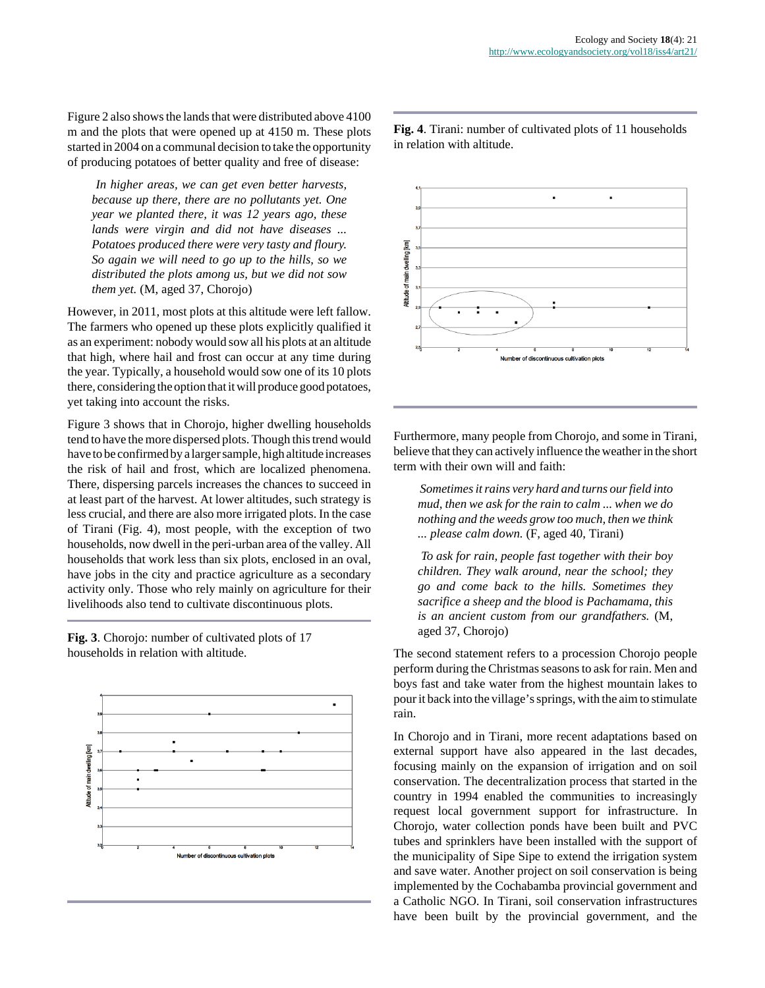Figure 2 also shows the lands that were distributed above 4100 m and the plots that were opened up at 4150 m. These plots started in 2004 on a communal decision to take the opportunity of producing potatoes of better quality and free of disease:

*In higher areas, we can get even better harvests, because up there, there are no pollutants yet. One year we planted there, it was 12 years ago, these lands were virgin and did not have diseases ... Potatoes produced there were very tasty and floury. So again we will need to go up to the hills, so we distributed the plots among us, but we did not sow them yet.* (M, aged 37, Chorojo)

However, in 2011, most plots at this altitude were left fallow. The farmers who opened up these plots explicitly qualified it as an experiment: nobody would sow all his plots at an altitude that high, where hail and frost can occur at any time during the year. Typically, a household would sow one of its 10 plots there, considering the option that it will produce good potatoes, yet taking into account the risks.

Figure 3 shows that in Chorojo, higher dwelling households tend to have the more dispersed plots. Though this trend would have to be confirmed by a larger sample, high altitude increases the risk of hail and frost, which are localized phenomena. There, dispersing parcels increases the chances to succeed in at least part of the harvest. At lower altitudes, such strategy is less crucial, and there are also more irrigated plots. In the case of Tirani (Fig. 4), most people, with the exception of two households, now dwell in the peri-urban area of the valley. All households that work less than six plots, enclosed in an oval, have jobs in the city and practice agriculture as a secondary activity only. Those who rely mainly on agriculture for their livelihoods also tend to cultivate discontinuous plots.

**Fig. 3**. Chorojo: number of cultivated plots of 17 households in relation with altitude.



**Fig. 4**. Tirani: number of cultivated plots of 11 households in relation with altitude.



Furthermore, many people from Chorojo, and some in Tirani, believe that they can actively influence the weather in the short term with their own will and faith:

*Sometimes it rains very hard and turns our field into mud, then we ask for the rain to calm ... when we do nothing and the weeds grow too much, then we think ... please calm down.* (F, aged 40, Tirani)

*To ask for rain, people fast together with their boy children. They walk around, near the school; they go and come back to the hills. Sometimes they sacrifice a sheep and the blood is Pachamama, this is an ancient custom from our grandfathers.* (M, aged 37, Chorojo)

The second statement refers to a procession Chorojo people perform during the Christmas seasons to ask for rain. Men and boys fast and take water from the highest mountain lakes to pour it back into the village's springs, with the aim to stimulate rain.

In Chorojo and in Tirani, more recent adaptations based on external support have also appeared in the last decades, focusing mainly on the expansion of irrigation and on soil conservation. The decentralization process that started in the country in 1994 enabled the communities to increasingly request local government support for infrastructure. In Chorojo, water collection ponds have been built and PVC tubes and sprinklers have been installed with the support of the municipality of Sipe Sipe to extend the irrigation system and save water. Another project on soil conservation is being implemented by the Cochabamba provincial government and a Catholic NGO. In Tirani, soil conservation infrastructures have been built by the provincial government, and the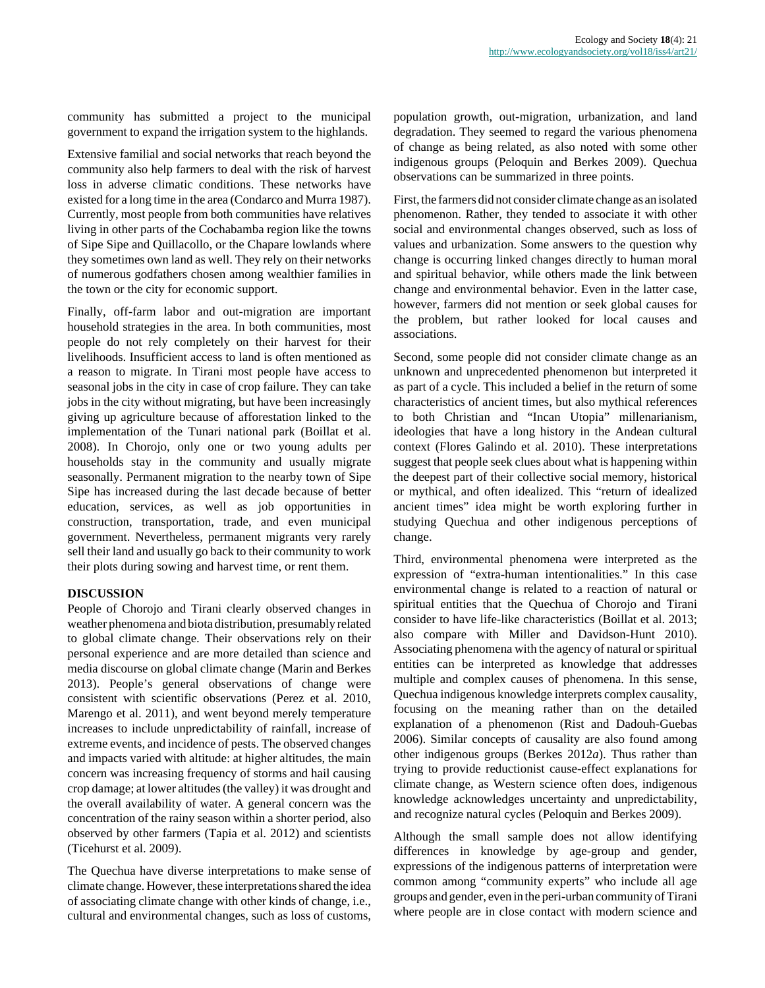community has submitted a project to the municipal government to expand the irrigation system to the highlands.

Extensive familial and social networks that reach beyond the community also help farmers to deal with the risk of harvest loss in adverse climatic conditions. These networks have existed for a long time in the area (Condarco and Murra 1987). Currently, most people from both communities have relatives living in other parts of the Cochabamba region like the towns of Sipe Sipe and Quillacollo, or the Chapare lowlands where they sometimes own land as well. They rely on their networks of numerous godfathers chosen among wealthier families in the town or the city for economic support.

Finally, off-farm labor and out-migration are important household strategies in the area. In both communities, most people do not rely completely on their harvest for their livelihoods. Insufficient access to land is often mentioned as a reason to migrate. In Tirani most people have access to seasonal jobs in the city in case of crop failure. They can take jobs in the city without migrating, but have been increasingly giving up agriculture because of afforestation linked to the implementation of the Tunari national park (Boillat et al. 2008). In Chorojo, only one or two young adults per households stay in the community and usually migrate seasonally. Permanent migration to the nearby town of Sipe Sipe has increased during the last decade because of better education, services, as well as job opportunities in construction, transportation, trade, and even municipal government. Nevertheless, permanent migrants very rarely sell their land and usually go back to their community to work their plots during sowing and harvest time, or rent them.

#### **DISCUSSION**

People of Chorojo and Tirani clearly observed changes in weather phenomena and biota distribution, presumably related to global climate change. Their observations rely on their personal experience and are more detailed than science and media discourse on global climate change (Marin and Berkes 2013). People's general observations of change were consistent with scientific observations (Perez et al. 2010, Marengo et al. 2011), and went beyond merely temperature increases to include unpredictability of rainfall, increase of extreme events, and incidence of pests. The observed changes and impacts varied with altitude: at higher altitudes, the main concern was increasing frequency of storms and hail causing crop damage; at lower altitudes (the valley) it was drought and the overall availability of water. A general concern was the concentration of the rainy season within a shorter period, also observed by other farmers (Tapia et al. 2012) and scientists (Ticehurst et al. 2009).

The Quechua have diverse interpretations to make sense of climate change. However, these interpretations shared the idea of associating climate change with other kinds of change, i.e., cultural and environmental changes, such as loss of customs,

population growth, out-migration, urbanization, and land degradation. They seemed to regard the various phenomena of change as being related, as also noted with some other indigenous groups (Peloquin and Berkes 2009). Quechua observations can be summarized in three points.

First, the farmers did not consider climate change as an isolated phenomenon. Rather, they tended to associate it with other social and environmental changes observed, such as loss of values and urbanization. Some answers to the question why change is occurring linked changes directly to human moral and spiritual behavior, while others made the link between change and environmental behavior. Even in the latter case, however, farmers did not mention or seek global causes for the problem, but rather looked for local causes and associations.

Second, some people did not consider climate change as an unknown and unprecedented phenomenon but interpreted it as part of a cycle. This included a belief in the return of some characteristics of ancient times, but also mythical references to both Christian and "Incan Utopia" millenarianism, ideologies that have a long history in the Andean cultural context (Flores Galindo et al. 2010). These interpretations suggest that people seek clues about what is happening within the deepest part of their collective social memory, historical or mythical, and often idealized. This "return of idealized ancient times" idea might be worth exploring further in studying Quechua and other indigenous perceptions of change.

Third, environmental phenomena were interpreted as the expression of "extra-human intentionalities." In this case environmental change is related to a reaction of natural or spiritual entities that the Quechua of Chorojo and Tirani consider to have life-like characteristics (Boillat et al. 2013; also compare with Miller and Davidson-Hunt 2010). Associating phenomena with the agency of natural or spiritual entities can be interpreted as knowledge that addresses multiple and complex causes of phenomena. In this sense, Quechua indigenous knowledge interprets complex causality, focusing on the meaning rather than on the detailed explanation of a phenomenon (Rist and Dadouh-Guebas 2006). Similar concepts of causality are also found among other indigenous groups (Berkes 2012*a*). Thus rather than trying to provide reductionist cause-effect explanations for climate change, as Western science often does, indigenous knowledge acknowledges uncertainty and unpredictability, and recognize natural cycles (Peloquin and Berkes 2009).

Although the small sample does not allow identifying differences in knowledge by age-group and gender, expressions of the indigenous patterns of interpretation were common among "community experts" who include all age groups and gender, even in the peri-urban community of Tirani where people are in close contact with modern science and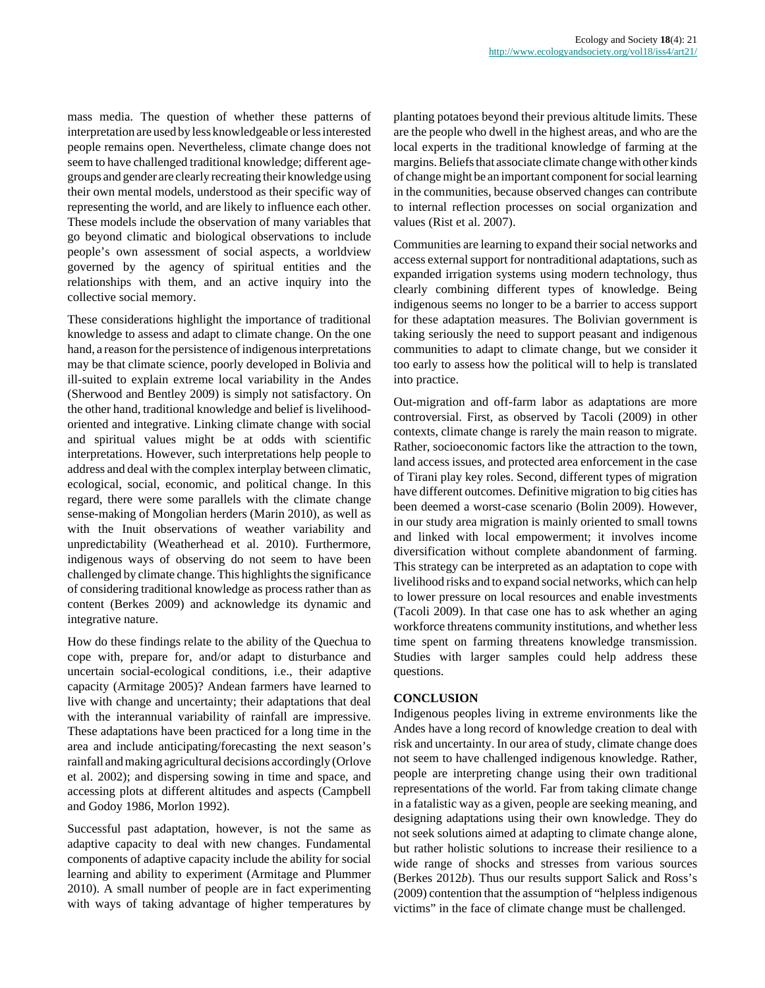mass media. The question of whether these patterns of interpretation are used by less knowledgeable or less interested people remains open. Nevertheless, climate change does not seem to have challenged traditional knowledge; different agegroups and gender are clearly recreating their knowledge using their own mental models, understood as their specific way of representing the world, and are likely to influence each other. These models include the observation of many variables that go beyond climatic and biological observations to include people's own assessment of social aspects, a worldview governed by the agency of spiritual entities and the relationships with them, and an active inquiry into the collective social memory.

These considerations highlight the importance of traditional knowledge to assess and adapt to climate change. On the one hand, a reason for the persistence of indigenous interpretations may be that climate science, poorly developed in Bolivia and ill-suited to explain extreme local variability in the Andes (Sherwood and Bentley 2009) is simply not satisfactory. On the other hand, traditional knowledge and belief is livelihoodoriented and integrative. Linking climate change with social and spiritual values might be at odds with scientific interpretations. However, such interpretations help people to address and deal with the complex interplay between climatic, ecological, social, economic, and political change. In this regard, there were some parallels with the climate change sense-making of Mongolian herders (Marin 2010), as well as with the Inuit observations of weather variability and unpredictability (Weatherhead et al. 2010). Furthermore, indigenous ways of observing do not seem to have been challenged by climate change. This highlights the significance of considering traditional knowledge as process rather than as content (Berkes 2009) and acknowledge its dynamic and integrative nature.

How do these findings relate to the ability of the Quechua to cope with, prepare for, and/or adapt to disturbance and uncertain social-ecological conditions, i.e., their adaptive capacity (Armitage 2005)? Andean farmers have learned to live with change and uncertainty; their adaptations that deal with the interannual variability of rainfall are impressive. These adaptations have been practiced for a long time in the area and include anticipating/forecasting the next season's rainfall and making agricultural decisions accordingly (Orlove et al. 2002); and dispersing sowing in time and space, and accessing plots at different altitudes and aspects (Campbell and Godoy 1986, Morlon 1992).

Successful past adaptation, however, is not the same as adaptive capacity to deal with new changes. Fundamental components of adaptive capacity include the ability for social learning and ability to experiment (Armitage and Plummer 2010). A small number of people are in fact experimenting with ways of taking advantage of higher temperatures by planting potatoes beyond their previous altitude limits. These are the people who dwell in the highest areas, and who are the local experts in the traditional knowledge of farming at the margins. Beliefs that associate climate change with other kinds of change might be an important component for social learning in the communities, because observed changes can contribute to internal reflection processes on social organization and values (Rist et al. 2007).

Communities are learning to expand their social networks and access external support for nontraditional adaptations, such as expanded irrigation systems using modern technology, thus clearly combining different types of knowledge. Being indigenous seems no longer to be a barrier to access support for these adaptation measures. The Bolivian government is taking seriously the need to support peasant and indigenous communities to adapt to climate change, but we consider it too early to assess how the political will to help is translated into practice.

Out-migration and off-farm labor as adaptations are more controversial. First, as observed by Tacoli (2009) in other contexts, climate change is rarely the main reason to migrate. Rather, socioeconomic factors like the attraction to the town, land access issues, and protected area enforcement in the case of Tirani play key roles. Second, different types of migration have different outcomes. Definitive migration to big cities has been deemed a worst-case scenario (Bolin 2009). However, in our study area migration is mainly oriented to small towns and linked with local empowerment; it involves income diversification without complete abandonment of farming. This strategy can be interpreted as an adaptation to cope with livelihood risks and to expand social networks, which can help to lower pressure on local resources and enable investments (Tacoli 2009). In that case one has to ask whether an aging workforce threatens community institutions, and whether less time spent on farming threatens knowledge transmission. Studies with larger samples could help address these questions.

## **CONCLUSION**

Indigenous peoples living in extreme environments like the Andes have a long record of knowledge creation to deal with risk and uncertainty. In our area of study, climate change does not seem to have challenged indigenous knowledge. Rather, people are interpreting change using their own traditional representations of the world. Far from taking climate change in a fatalistic way as a given, people are seeking meaning, and designing adaptations using their own knowledge. They do not seek solutions aimed at adapting to climate change alone, but rather holistic solutions to increase their resilience to a wide range of shocks and stresses from various sources (Berkes 2012*b*). Thus our results support Salick and Ross's (2009) contention that the assumption of "helpless indigenous victims" in the face of climate change must be challenged.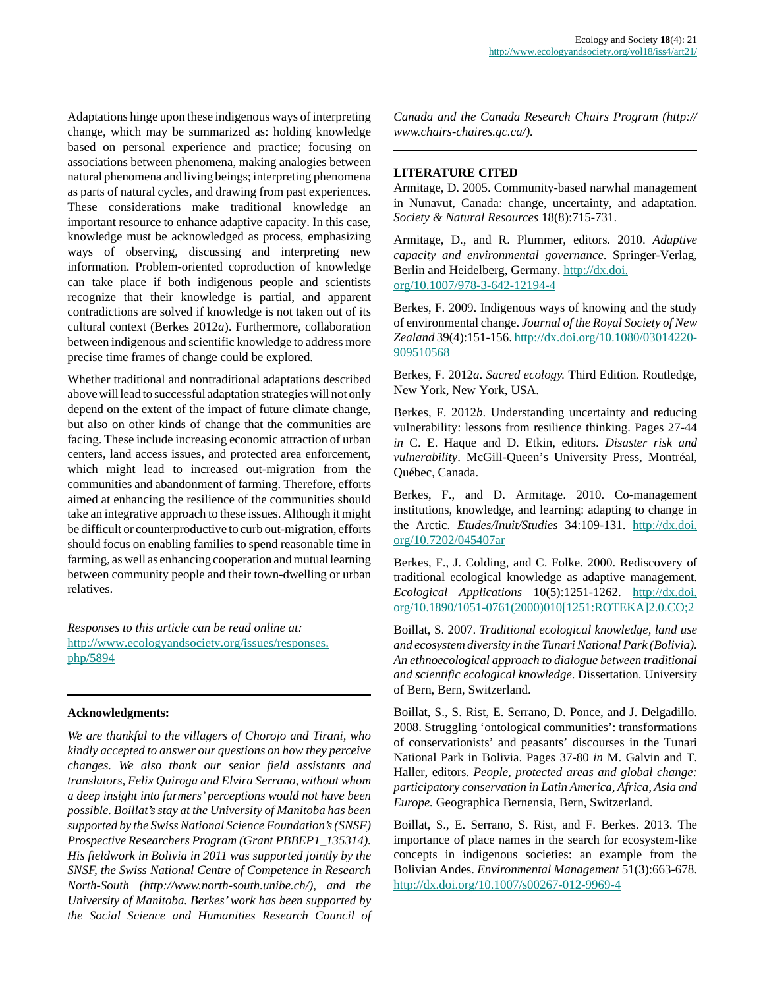Adaptations hinge upon these indigenous ways of interpreting change, which may be summarized as: holding knowledge based on personal experience and practice; focusing on associations between phenomena, making analogies between natural phenomena and living beings; interpreting phenomena as parts of natural cycles, and drawing from past experiences. These considerations make traditional knowledge an important resource to enhance adaptive capacity. In this case, knowledge must be acknowledged as process, emphasizing ways of observing, discussing and interpreting new information. Problem-oriented coproduction of knowledge can take place if both indigenous people and scientists recognize that their knowledge is partial, and apparent contradictions are solved if knowledge is not taken out of its cultural context (Berkes 2012*a*). Furthermore, collaboration between indigenous and scientific knowledge to address more precise time frames of change could be explored.

Whether traditional and nontraditional adaptations described above will lead to successful adaptation strategies will not only depend on the extent of the impact of future climate change, but also on other kinds of change that the communities are facing. These include increasing economic attraction of urban centers, land access issues, and protected area enforcement, which might lead to increased out-migration from the communities and abandonment of farming. Therefore, efforts aimed at enhancing the resilience of the communities should take an integrative approach to these issues. Although it might be difficult or counterproductive to curb out-migration, efforts should focus on enabling families to spend reasonable time in farming, as well as enhancing cooperation and mutual learning between community people and their town-dwelling or urban relatives.

*Responses to this article can be read online at:* [http://www.ecologyandsociety.org/issues/responses.](http://www.ecologyandsociety.org/issues/responses.php/5894) [php/5894](http://www.ecologyandsociety.org/issues/responses.php/5894)

#### **Acknowledgments:**

*We are thankful to the villagers of Chorojo and Tirani, who kindly accepted to answer our questions on how they perceive changes. We also thank our senior field assistants and translators, Felix Quiroga and Elvira Serrano, without whom a deep insight into farmers' perceptions would not have been possible. Boillat's stay at the University of Manitoba has been supported by the Swiss National Science Foundation's (SNSF) Prospective Researchers Program (Grant PBBEP1\_135314). His fieldwork in Bolivia in 2011 was supported jointly by the SNSF, the Swiss National Centre of Competence in Research North-South (http://www.north-south.unibe.ch/), and the University of Manitoba. Berkes' work has been supported by the Social Science and Humanities Research Council of* *Canada and the Canada Research Chairs Program (http:// www.chairs-chaires.gc.ca/).*

## **LITERATURE CITED**

Armitage, D. 2005. Community-based narwhal management in Nunavut, Canada: change, uncertainty, and adaptation. *Society & Natural Resources* 18(8):715-731.

Armitage, D., and R. Plummer, editors. 2010. *Adaptive capacity and environmental governance*. Springer-Verlag, Berlin and Heidelberg, Germany. [http://dx.doi.](http://dx.doi.org/10.1007/978-3-642-12194-4) [org/10.1007/978-3-642-12194-4](http://dx.doi.org/10.1007/978-3-642-12194-4)

Berkes, F. 2009. Indigenous ways of knowing and the study of environmental change. *Journal of the Royal Society of New Zealand* 39(4):151-156. [http://dx.doi.org/10.1080/03014220-](http://dx.doi.org/10.1080/03014220909510568) [909510568](http://dx.doi.org/10.1080/03014220909510568)

Berkes, F. 2012*a*. *Sacred ecology.* Third Edition. Routledge, New York, New York, USA.

Berkes, F. 2012*b*. Understanding uncertainty and reducing vulnerability: lessons from resilience thinking. Pages 27-44 *in* C. E. Haque and D. Etkin, editors. *Disaster risk and vulnerability*. McGill-Queen's University Press, Montréal, Québec, Canada.

Berkes, F., and D. Armitage. 2010. Co-management institutions, knowledge, and learning: adapting to change in the Arctic. *Etudes/Inuit/Studies* 34:109-131. [http://dx.doi.](http://dx.doi.org/10.7202/045407ar) [org/10.7202/045407ar](http://dx.doi.org/10.7202/045407ar)

Berkes, F., J. Colding, and C. Folke. 2000. Rediscovery of traditional ecological knowledge as adaptive management. *Ecological Applications* 10(5):1251-1262. [http://dx.doi.](http://dx.doi.org/10.1890/1051-0761(2000)010[1251:ROTEKA]2.0.CO;2) [org/10.1890/1051-0761\(2000\)010\[1251:ROTEKA\]2.0.CO;2](http://dx.doi.org/10.1890/1051-0761(2000)010[1251:ROTEKA]2.0.CO;2)

Boillat, S. 2007. *Traditional ecological knowledge, land use and ecosystem diversity in the Tunari National Park (Bolivia). An ethnoecological approach to dialogue between traditional and scientific ecological knowledge*. Dissertation. University of Bern, Bern, Switzerland.

Boillat, S., S. Rist, E. Serrano, D. Ponce, and J. Delgadillo. 2008. Struggling 'ontological communities': transformations of conservationists' and peasants' discourses in the Tunari National Park in Bolivia. Pages 37-80 *in* M. Galvin and T. Haller, editors. *People, protected areas and global change: participatory conservation in Latin America, Africa, Asia and Europe.* Geographica Bernensia, Bern, Switzerland.

Boillat, S., E. Serrano, S. Rist, and F. Berkes. 2013. The importance of place names in the search for ecosystem-like concepts in indigenous societies: an example from the Bolivian Andes. *Environmental Management* 51(3):663-678. <http://dx.doi.org/10.1007/s00267-012-9969-4>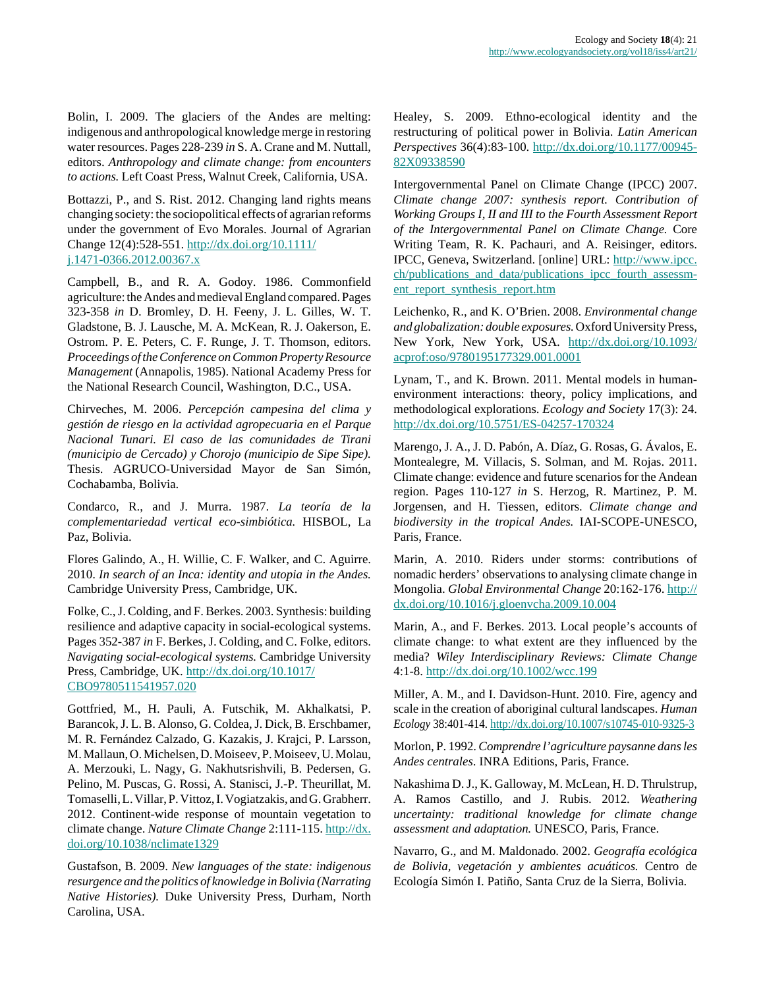Bolin, I. 2009. The glaciers of the Andes are melting: indigenous and anthropological knowledge merge in restoring water resources. Pages 228-239 *in* S. A. Crane and M. Nuttall, editors. *Anthropology and climate change: from encounters to actions.* Left Coast Press, Walnut Creek, California, USA.

Bottazzi, P., and S. Rist. 2012. Changing land rights means changing society: the sociopolitical effects of agrarian reforms under the government of Evo Morales. Journal of Agrarian Change 12(4):528-551. [http://dx.doi.org/10.1111/](http://dx.doi.org/10.1111/j.1471-0366.2012.00367.x) [j.1471-0366.2012.00367.x](http://dx.doi.org/10.1111/j.1471-0366.2012.00367.x)

Campbell, B., and R. A. Godoy. 1986. Commonfield agriculture: the Andes and medieval England compared. Pages 323-358 *in* D. Bromley, D. H. Feeny, J. L. Gilles, W. T. Gladstone, B. J. Lausche, M. A. McKean, R. J. Oakerson, E. Ostrom. P. E. Peters, C. F. Runge, J. T. Thomson, editors. *Proceedings of the Conference on Common Property Resource Management* (Annapolis, 1985). National Academy Press for the National Research Council, Washington, D.C., USA.

Chirveches, M. 2006. *Percepción campesina del clima y gestión de riesgo en la actividad agropecuaria en el Parque Nacional Tunari. El caso de las comunidades de Tirani (municipio de Cercado) y Chorojo (municipio de Sipe Sipe).* Thesis. AGRUCO-Universidad Mayor de San Simón, Cochabamba, Bolivia.

Condarco, R., and J. Murra. 1987. *La teoría de la complementariedad vertical eco-simbiótica.* HISBOL, La Paz, Bolivia.

Flores Galindo, A., H. Willie, C. F. Walker, and C. Aguirre. 2010. *In search of an Inca: identity and utopia in the Andes.* Cambridge University Press, Cambridge, UK.

Folke, C., J. Colding, and F. Berkes. 2003. Synthesis: building resilience and adaptive capacity in social-ecological systems. Pages 352-387 *in* F. Berkes, J. Colding, and C. Folke, editors. *Navigating social-ecological systems.* Cambridge University Press, Cambridge, UK. [http://dx.doi.org/10.1017/](http://dx.doi.org/10.1017/CBO9780511541957.020) [CBO9780511541957.020](http://dx.doi.org/10.1017/CBO9780511541957.020)

Gottfried, M., H. Pauli, A. Futschik, M. Akhalkatsi, P. Barancok, J. L. B. Alonso, G. Coldea, J. Dick, B. Erschbamer, M. R. Fernández Calzado, G. Kazakis, J. Krajci, P. Larsson, M. Mallaun, O. Michelsen, D. Moiseev, P. Moiseev, U. Molau, A. Merzouki, L. Nagy, G. Nakhutsrishvili, B. Pedersen, G. Pelino, M. Puscas, G. Rossi, A. Stanisci, J.-P. Theurillat, M. Tomaselli, L. Villar, P. Vittoz, I. Vogiatzakis, and G. Grabherr. 2012. Continent-wide response of mountain vegetation to climate change. *Nature Climate Change* 2:111-115. [http://dx.](http://dx.doi.org/10.1038/nclimate1329) [doi.org/10.1038/nclimate1329](http://dx.doi.org/10.1038/nclimate1329)

Gustafson, B. 2009. *New languages of the state: indigenous resurgence and the politics of knowledge in Bolivia (Narrating Native Histories).* Duke University Press, Durham, North Carolina, USA.

Healey, S. 2009. Ethno-ecological identity and the restructuring of political power in Bolivia. *Latin American Perspectives* 36(4):83-100. [http://dx.doi.org/10.1177/00945-](http://dx.doi.org/10.1177/0094582X09338590) [82X09338590](http://dx.doi.org/10.1177/0094582X09338590)

Intergovernmental Panel on Climate Change (IPCC) 2007. *Climate change 2007: synthesis report. Contribution of Working Groups I, II and III to the Fourth Assessment Report of the Intergovernmental Panel on Climate Change.* Core Writing Team, R. K. Pachauri, and A. Reisinger, editors. IPCC, Geneva, Switzerland. [online] URL: [http://www.ipcc.](http://www.ipcc.ch/publications_and_data/publications_ipcc_fourth_assessment_report_synthesis_report.htm) [ch/publications\\_and\\_data/publications\\_ipcc\\_fourth\\_assessm](http://www.ipcc.ch/publications_and_data/publications_ipcc_fourth_assessment_report_synthesis_report.htm)[ent\\_report\\_synthesis\\_report.htm](http://www.ipcc.ch/publications_and_data/publications_ipcc_fourth_assessment_report_synthesis_report.htm)

Leichenko, R., and K. O'Brien. 2008. *Environmental change and globalization: double exposures.* Oxford University Press, New York, New York, USA. [http://dx.doi.org/10.1093/](http://dx.doi.org/10.1093/acprof:oso/9780195177329.001.0001) [acprof:oso/9780195177329.001.0001](http://dx.doi.org/10.1093/acprof:oso/9780195177329.001.0001)

Lynam, T., and K. Brown. 2011. Mental models in humanenvironment interactions: theory, policy implications, and methodological explorations. *Ecology and Society* 17(3): 24. <http://dx.doi.org/10.5751/ES-04257-170324>

Marengo, J. A., J. D. Pabón, A. Díaz, G. Rosas, G. Ávalos, E. Montealegre, M. Villacis, S. Solman, and M. Rojas. 2011. Climate change: evidence and future scenarios for the Andean region. Pages 110-127 *in* S. Herzog, R. Martinez, P. M. Jorgensen, and H. Tiessen, editors. *Climate change and biodiversity in the tropical Andes.* IAI-SCOPE-UNESCO, Paris, France.

Marin, A. 2010. Riders under storms: contributions of nomadic herders' observations to analysing climate change in Mongolia. *Global Environmental Change* 20:162-176. [http://](http://dx.doi.org/10.1016/j.gloenvcha.2009.10.004) [dx.doi.org/10.1016/j.gloenvcha.2009.10.004](http://dx.doi.org/10.1016/j.gloenvcha.2009.10.004)

Marin, A., and F. Berkes. 2013. Local people's accounts of climate change: to what extent are they influenced by the media? *Wiley Interdisciplinary Reviews: Climate Change* 4:1-8.<http://dx.doi.org/10.1002/wcc.199>

Miller, A. M., and I. Davidson-Hunt. 2010. Fire, agency and scale in the creation of aboriginal cultural landscapes. *Human Ecology* 38:401-414. <http://dx.doi.org/10.1007/s10745-010-9325-3>

Morlon, P. 1992. *Comprendre l'agriculture paysanne dans les Andes centrales*. INRA Editions, Paris, France.

Nakashima D. J., K. Galloway, M. McLean, H. D. Thrulstrup, A. Ramos Castillo, and J. Rubis. 2012. *Weathering uncertainty: traditional knowledge for climate change assessment and adaptation.* UNESCO, Paris, France.

Navarro, G., and M. Maldonado. 2002. *Geografía ecológica de Bolivia, vegetación y ambientes acuáticos.* Centro de Ecología Simón I. Patiño, Santa Cruz de la Sierra, Bolivia.